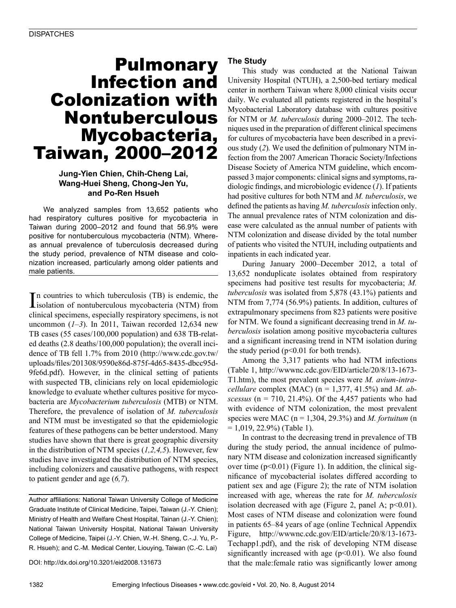## Pulmonary Infection and Colonization with Nontuberculous Mycobacteria, Taiwan, 2000–2012

#### **Jung-Yien Chien, Chih-Cheng Lai, Wang-Huei Sheng, Chong-Jen Yu, and Po-Ren Hsueh**

We analyzed samples from 13,652 patients who had respiratory cultures positive for mycobacteria in Taiwan during 2000–2012 and found that 56.9% were positive for nontuberculous mycobacteria (NTM). Whereas annual prevalence of tuberculosis decreased during the study period, prevalence of NTM disease and colonization increased, particularly among older patients and male patients.

In countries to which tuberculosis (TB) is endemic, the isolation of nontuberculous mycobacteria (NTM) from isolation of nontuberculous mycobacteria (NTM) from clinical specimens, especially respiratory specimens, is not uncommon  $(1-3)$ . In 2011, Taiwan recorded 12,634 new TB cases (55 cases/100,000 population) and 638 TB-related deaths (2.8 deaths/100,000 population); the overall incidence of TB fell 1.7% from 2010 (http://www.cdc.gov.tw/ uploads/files/201308/9590e86d-875f-4d65-8435-dbcc95d-9fe6d.pdf). However, in the clinical setting of patients with suspected TB, clinicians rely on local epidemiologic knowledge to evaluate whether cultures positive for mycobacteria are *Mycobacterium tuberculosis* (MTB) or NTM. Therefore, the prevalence of isolation of *M. tuberculosis* and NTM must be investigated so that the epidemiologic features of these pathogens can be better understood. Many studies have shown that there is great geographic diversity in the distribution of NTM species (*1,2,4,5*). However, few studies have investigated the distribution of NTM species, including colonizers and causative pathogens, with respect to patient gender and age (*6,7*).

Author affiliations: National Taiwan University College of Medicine Graduate Institute of Clinical Medicine, Taipei, Taiwan (J.-Y. Chien); Ministry of Health and Welfare Chest Hospital, Tainan (J.-Y. Chien); National Taiwan University Hospital, National Taiwan University College of Medicine, Taipei (J.-Y. Chien, W.-H. Sheng, C.-.J. Yu, P.- R. Hsueh); and C.-M. Medical Center, Liouying, Taiwan (C.-C. Lai)

DOI: http://dx.doi.org/10.3201/eid2008.131673

#### **The Study**

This study was conducted at the National Taiwan University Hospital (NTUH), a 2,500-bed tertiary medical center in northern Taiwan where 8,000 clinical visits occur daily. We evaluated all patients registered in the hospital's Mycobacterial Laboratory database with cultures positive for NTM or *M. tuberculosis* during 2000–2012. The techniques used in the preparation of different clinical specimens for cultures of mycobacteria have been described in a previous study (*2*)*.* We used the definition of pulmonary NTM infection from the 2007 American Thoracic Society/Infections Disease Society of America NTM guideline, which encompassed 3 major components: clinical signs and symptoms, radiologic findings, and microbiologic evidence (*1*). If patients had positive cultures for both NTM and *M. tuberculosis*, we defined the patients as having *M. tuberculosis* infection only. The annual prevalence rates of NTM colonization and disease were calculated as the annual number of patients with NTM colonization and disease divided by the total number of patients who visited the NTUH, including outpatients and inpatients in each indicated year.

During January 2000–December 2012, a total of 13,652 nonduplicate isolates obtained from respiratory specimens had positive test results for mycobacteria; *M. tuberculosis* was isolated from 5,878 (43.1%) patients and NTM from 7,774 (56.9%) patients. In addition, cultures of extrapulmonary specimens from 823 patients were positive for NTM. We found a significant decreasing trend in *M. tuberculosis* isolation among positive mycobacteria cultures and a significant increasing trend in NTM isolation during the study period ( $p<0.01$  for both trends).

Among the 3,317 patients who had NTM infections (Table 1, http://wwwnc.cdc.gov/EID/article/20/8/13-1673- T1.htm), the most prevalent species were *M. avium-intracellulare* complex (MAC) (n = 1,377, 41.5%) and *M. abscessus* ( $n = 710$ , 21.4%). Of the 4,457 patients who had with evidence of NTM colonization, the most prevalent species were MAC (n = 1,304, 29.3%) and *M. fortuitum* (n  $= 1,019, 22.9\%)$  (Table 1).

In contrast to the decreasing trend in prevalence of TB during the study period, the annual incidence of pulmonary NTM disease and colonization increased significantly over time  $(p<0.01)$  (Figure 1). In addition, the clinical significance of mycobacterial isolates differed according to patient sex and age (Figure 2); the rate of NTM isolation increased with age, whereas the rate for *M. tuberculosis* isolation decreased with age (Figure 2, panel A;  $p<0.01$ ). Most cases of NTM disease and colonization were found in patients 65–84 years of age (online Technical Appendix Figure, http://wwwnc.cdc.gov/EID/article/20/8/13-1673- Techapp1.pdf), and the risk of developing NTM disease significantly increased with age  $(p<0.01)$ . We also found that the male:female ratio was significantly lower among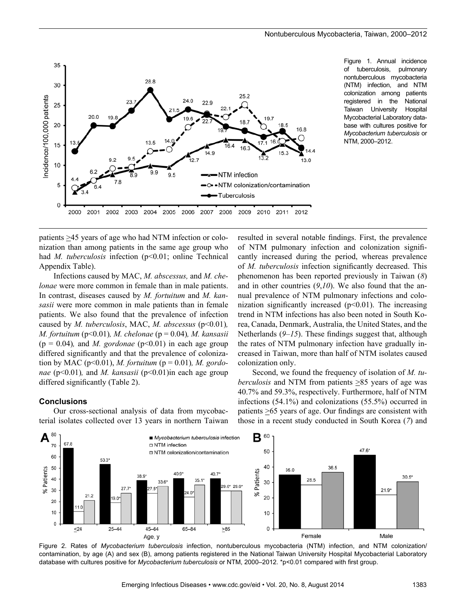

Figure 1. Annual incidence of tuberculosis, pulmonary nontuberculous mycobacteria (NTM) infection, and NTM colonization among patients registered in the National Taiwan University Hospital Mycobacterial Laboratory database with cultures positive for *Mycobacterium tuberculosis* or NTM, 2000–2012.

patients >45 years of age who had NTM infection or colonization than among patients in the same age group who had *M. tuberculosis* infection (p<0.01; online Technical Appendix Table).

Infections caused by MAC, *M. abscessus,* and *M. chelonae* were more common in female than in male patients. In contrast, diseases caused by *M. fortuitum* and *M. kansasii* were more common in male patients than in female patients. We also found that the prevalence of infection caused by *M. tuberculosis*, MAC, *M. abscessus* (p<0.01)*, M. fortuitum* (p<0.01)*, M. chelonae* (p = 0.04)*, M. kansasii*  $(p = 0.04)$ , and *M. gordonae*  $(p<0.01)$  in each age group differed significantly and that the prevalence of colonization by MAC (p<0.01), *M. fortuitum* (p = 0.01)*, M. gordonae* (p<0.01)*,* and *M. kansasii* (p<0.01)in each age group differed significantly (Table 2).

#### **Conclusions**

Our cross-sectional analysis of data from mycobacterial isolates collected over 13 years in northern Taiwan resulted in several notable findings. First, the prevalence of NTM pulmonary infection and colonization significantly increased during the period, whereas prevalence of *M. tuberculosis* infection significantly decreased. This phenomenon has been reported previously in Taiwan (*8*) and in other countries (*9*,*10*). We also found that the annual prevalence of NTM pulmonary infections and colonization significantly increased  $(p<0.01)$ . The increasing trend in NTM infections has also been noted in South Korea, Canada, Denmark, Australia, the United States, and the Netherlands (*9–15*). These findings suggest that, although the rates of NTM pulmonary infection have gradually increased in Taiwan, more than half of NTM isolates caused colonization only.

Second, we found the frequency of isolation of *M. tuberculosis* and NTM from patients  $\geq 85$  years of age was 40.7% and 59.3%, respectively. Furthermore, half of NTM infections (54.1%) and colonizations (55.5%) occurred in patients >65 years of age. Our findings are consistent with those in a recent study conducted in South Korea (*7*) and



Figure 2. Rates of *Mycobacterium tuberculosis* infection, nontuberculous mycobacteria (NTM) infection, and NTM colonization/ contamination, by age (A) and sex (B), among patients registered in the National Taiwan University Hospital Mycobacterial Laboratory database with cultures positive for *Mycobacterium tuberculosis* or NTM, 2000–2012. \*p<0.01 compared with first group.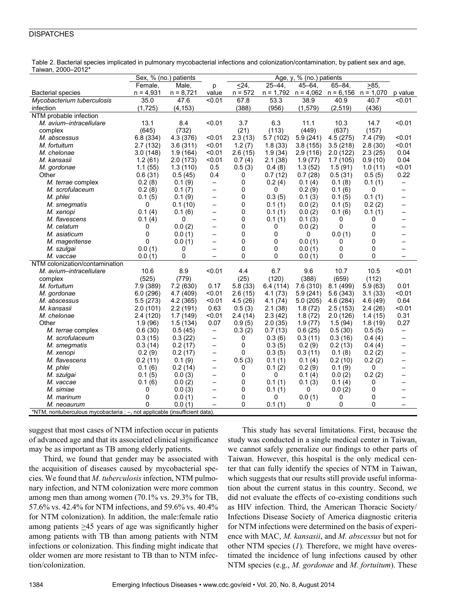#### **DISPATCHES**

Table 2. Bacterial species implicated in pulmonary mycobacterial infections and colonization/contamination, by patient sex and age, Taiwan, 2000–2012\*

|                                                                            | Sex, % (no.) patients |             |                          | Age, $y, %$ (no.) patients |           |           |                                                 |          |                          |
|----------------------------------------------------------------------------|-----------------------|-------------|--------------------------|----------------------------|-----------|-----------|-------------------------------------------------|----------|--------------------------|
|                                                                            | Female,               | Male,       | p                        | $\overline{\leq}24,$       | $25 - 44$ | $45 - 64$ | $65 - 84$                                       | $>85$ .  |                          |
| <b>Bacterial species</b>                                                   | $n = 4,931$           | $n = 8,721$ | value                    | $n = 572$                  |           |           | $n = 1,792$ $n = 4,062$ $n = 6,156$ $n = 1,070$ |          | p value                  |
| Mycobacterium tuberculosis                                                 | 35.0                  | 47.6        | < 0.01                   | 67.8                       | 53.3      | 38.9      | 40.9                                            | 40.7     | < 0.01                   |
| infection                                                                  | (1,725)               | (4, 153)    |                          | (388)                      | (956)     | (1, 579)  | (2,519)                                         | (436)    |                          |
| NTM probable infection                                                     |                       |             |                          |                            |           |           |                                                 |          |                          |
| M. avium-intracellulare                                                    | 13.1                  | 8.4         | < 0.01                   | 3.7                        | 6.3       | 11.1      | 10.3                                            | 14.7     | < 0.01                   |
| complex                                                                    | (645)                 | (732)       |                          | (21)                       | (113)     | (449)     | (637)                                           | (157)    |                          |
| M. abscessus                                                               | 6.8(334)              | 4.3 (376)   | < 0.01                   | 2.3(13)                    | 5.7(102)  | 5.9(241)  | 4.5(275)                                        | 7.4(79)  | < 0.01                   |
| M. fortuitum                                                               | 2.7(132)              | 3.6(311)    | < 0.01                   | 1.2(7)                     | 1.8(33)   | 3.8(155)  | 3.5(218)                                        | 2.8(30)  | < 0.01                   |
| M. chelonae                                                                | 3.0(148)              | 1.9(164)    | < 0.01                   | 2.6(15)                    | 1.9(34)   | 2.9(116)  | 2.0(122)                                        | 2.3(25)  | 0.04                     |
| M. kansasii                                                                | 1.2(61)               | 2.0 (173)   | < 0.01                   | 0.7(4)                     | 2.1(38)   | 1.9(77)   | 1.7(105)                                        | 0.9(10)  | 0.04                     |
| M. gordonae                                                                | 1.1(55)               | 1.3(110)    | 0.5                      | 0.5(3)                     | 0.4(8)    | 1.3(52)   | 1.5(91)                                         | 1.0(11)  | < 0.01                   |
| Other                                                                      | 0.6(31)               | 0.5(45)     | 0.4                      | 0                          | 0.7(12)   | 0.7(28)   | 0.5(31)                                         | 0.5(5)   | 0.22                     |
| M. terrae complex                                                          | 0.2(8)                | 0.1(9)      | $\overline{\phantom{m}}$ | 0                          | 0.2(4)    | 0.1(4)    | 0.1(8)                                          | 0.1(1)   | $\overline{\phantom{0}}$ |
| M. scrofulaceum                                                            | 0.2(8)                | 0.1(7)      | $\overline{\phantom{0}}$ | 0                          | 0         | 0.2(9)    | 0.1(6)                                          | 0        |                          |
| M. phlei                                                                   | 0.1(5)                | 0.1(9)      | $\overline{\phantom{0}}$ | 0                          | 0.3(5)    | 0.1(3)    | 0.1(5)                                          | 0.1(1)   |                          |
| M. smegmatis                                                               | 0                     | 0.1(10)     | $\overline{\phantom{0}}$ | 0                          | 0.1(1)    | 0.0(2)    | 0.1(5)                                          | 0.2(2)   | —                        |
| M. xenopi                                                                  | 0.1(4)                | 0.1(6)      | $\qquad \qquad -$        | 0                          | 0.1(1)    | 0.0(2)    | 0.1(6)                                          | 0.1(1)   | —                        |
| M. flavescens                                                              | 0.1(4)                | 0           | -                        | 0                          | 0.1(1)    | 0.1(3)    | 0                                               | 0        |                          |
| M. celatum                                                                 | 0                     | 0.0(2)      | $\overline{\phantom{0}}$ | 0                          | 0         | 0.0(2)    | 0                                               | 0        |                          |
| M. asiaticum                                                               | 0                     | 0.0(1)      | $\overline{\phantom{0}}$ | 0                          | 0         | 0         | 0.0(1)                                          | 0        |                          |
| M. mageritense                                                             | 0                     | 0.0(1)      | $\overline{\phantom{0}}$ | 0                          | 0         | 0.0(1)    | 0                                               | 0        |                          |
| M. szulgai                                                                 | 0.0(1)                | 0           | $\overline{\phantom{0}}$ | 0                          | 0         | 0.0(1)    | 0                                               | 0        |                          |
| M. vaccae                                                                  | 0.0(1)                | 0           | -                        | 0                          | 0         | 0.0(1)    | 0                                               | 0        |                          |
| NTM colonization/contamination                                             |                       |             |                          |                            |           |           |                                                 |          |                          |
| M. avium-intracellulare                                                    | 10.6                  | 8.9         | < 0.01                   | 4.4                        | 6.7       | 9.6       | 10.7                                            | 10.5     | < 0.01                   |
| complex                                                                    | (525)                 | (779)       |                          | (25)                       | (120)     | (388)     | (659)                                           | (112)    |                          |
| M. fortuitum                                                               | 7.9 (389)             | 7.2(630)    | 0.17                     | 5.8(33)                    | 6.4 (114) | 7.6(310)  | 8.1(499)                                        | 5.9(63)  | 0.01                     |
| M. gordonae                                                                | 6.0(296)              | 4.7 (409)   | < 0.01                   | 2.6(15)                    | 4.1(73)   | 5.9(241)  | 5.6(343)                                        | 3.1(33)  | < 0.01                   |
| M. abscessus                                                               | 5.5(273)              | 4.2 (365)   | < 0.01                   | 4.5(26)                    | 4.1(74)   | 5.0(205)  | 4.6(284)                                        | 4.6(49)  | 0.64                     |
| M. kansasii                                                                | 2.0(101)              | 2.2(191)    | 0.63                     | 0.5(3)                     | 2.1(38)   | 1.8(72)   | 2.5(153)                                        | 2.4(26)  | < 0.01                   |
| M. chelonae                                                                | 2.4(120)              | 1.7(149)    | < 0.01                   | 2.4(14)                    | 2.3(42)   | 1.8(72)   | 2.0(126)                                        | 1.4 (15) | 0.31                     |
| Other                                                                      | 1.9(96)               | 1.5(134)    | 0.07                     | 0.9(5)                     | 2.0(35)   | 1.9(77)   | 1.5(94)                                         | 1.8(19)  | 0.27                     |
| M. terrae complex                                                          | 0.6(30)               | 0.5(45)     | $\overline{\phantom{m}}$ | 0.3(2)                     | 0.7(13)   | 0.6(25)   | 0.5(30)                                         | 0.5(5)   | $\qquad \qquad -$        |
| M. scrofulaceum                                                            | 0.3(15)               | 0.3(22)     | $\qquad \qquad -$        | 0                          | 0.3(6)    | 0.3(11)   | 0.3(16)                                         | 0.4(4)   | —                        |
| M. smegmatis                                                               | 0.3(14)               | 0.2(17)     | $\overline{\phantom{0}}$ | 0                          | 0.3(5)    | 0.2(9)    | 0.2(13)                                         | 0.4(4)   | $\overline{\phantom{0}}$ |
| M. xenopi                                                                  | 0.2(9)                | 0.2(17)     | $\qquad \qquad -$        | 0                          | 0.3(5)    | 0.3(11)   | 0.1(8)                                          | 0.2(2)   | $\overline{\phantom{0}}$ |
| M. flavescens                                                              | 0.2(11)               | 0.1(9)      | $\overline{\phantom{0}}$ | 0.5(3)                     | 0.1(1)    | 0.1(4)    | 0.2(10)                                         | 0.2(2)   |                          |
| M. phlei                                                                   | 0.1(6)                | 0.2(14)     | $\overline{\phantom{0}}$ | 0                          | 0.1(2)    | 0.2(9)    | 0.1(9)                                          | 0        |                          |
| M. szulgai                                                                 | 0.1(5)                | 0.0(3)      | —                        | 0                          | 0         | 0.1(4)    | 0.0(2)                                          | 0.2(2)   |                          |
| M. vaccae                                                                  | 0.1(6)                | 0.0(2)      | $\overline{\phantom{0}}$ | 0                          | 0.1(1)    | 0.1(3)    | 0.1(4)                                          | 0        |                          |
| M. simiae                                                                  | 0                     | 0.0(3)      | —                        | 0                          | 0.1(1)    | $\Omega$  | 0.0(2)                                          | 0        |                          |
| M. marinum                                                                 | 0                     | 0.0(1)      | $\overline{\phantom{0}}$ | 0                          | 0         | 0.0(1)    | 0                                               | 0        |                          |
| M. neoaurum                                                                | 0                     | 0.0(1)      | $\overline{\phantom{0}}$ | 0                          | 0.1(1)    | 0         | 0                                               | $\Omega$ |                          |
| *NTM, nontuberculous mycobacteria ; -, not applicable (insufficient data). |                       |             |                          |                            |           |           |                                                 |          |                          |

suggest that most cases of NTM infection occur in patients of advanced age and that its associated clinical significance may be as important as TB among elderly patients.

Third, we found that gender may be associated with the acquisition of diseases caused by mycobacterial species. We found that *M. tuberculosis* infection, NTM pulmonary infection, and NTM colonization were more common among men than among women (70.1% vs. 29.3% for TB, 57.6% vs. 42.4% for NTM infections, and 59.6% vs. 40.4% for NTM colonization). In addition, the male:female ratio among patients >45 years of age was significantly higher among patients with TB than among patients with NTM infections or colonization. This finding might indicate that older women are more resistant to TB than to NTM infection/colonization.

This study has several limitations. First, because the study was conducted in a single medical center in Taiwan, we cannot safely generalize our findings to other parts of Taiwan. However, this hospital is the only medical center that can fully identify the species of NTM in Taiwan, which suggests that our results still provide useful information about the current status in this country. Second, we did not evaluate the effects of co-existing conditions such as HIV infection. Third, the American Thoracic Society/ Infections Disease Society of America diagnostic criteria for NTM infections were determined on the basis of experience with MAC, *M. kansasii*, and *M. abscessus* but not for other NTM species (*1*)*.* Therefore, we might have overestimated the incidence of lung infections caused by other NTM species (e.g., *M. gordonae* and *M. fortuitum*). These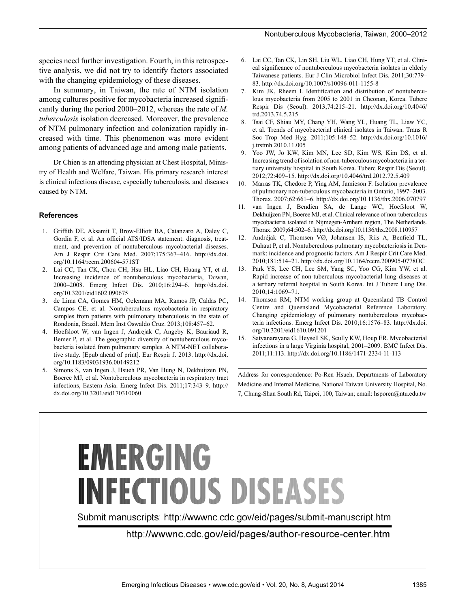species need further investigation. Fourth, in this retrospective analysis, we did not try to identify factors associated with the changing epidemiology of these diseases.

In summary, in Taiwan, the rate of NTM isolation among cultures positive for mycobacteria increased significantly during the period 2000–2012, whereas the rate of *M. tuberculosis* isolation decreased. Moreover, the prevalence of NTM pulmonary infection and colonization rapidly increased with time. This phenomenon was more evident among patients of advanced age and among male patients.

Dr Chien is an attending physician at Chest Hospital, Ministry of Health and Welfare, Taiwan. His primary research interest is clinical infectious disease, especially tuberculosis, and diseases caused by NTM.

#### **References**

- 1. Griffith DE, Aksamit T, Brow-Elliott BA, Catanzaro A, Daley C, Gordin F, et al. An official ATS/IDSA statement: diagnosis, treatment, and prevention of nontuberculous mycobacterial diseases. Am J Respir Crit Care Med. 2007;175:367–416. http://dx.doi. org/10.1164/rccm.200604-571ST
- 2. Lai CC, Tan CK, Chou CH, Hsu HL, Liao CH, Huang YT, et al. Increasing incidence of nontuberculous mycobacteria, Taiwan, 2000–2008. Emerg Infect Dis. 2010;16:294–6. http://dx.doi. org/10.3201/eid1602.090675
- 3. de Lima CA, Gomes HM, Oelemann MA, Ramos JP, Caldas PC, Campos CE, et al. Nontuberculous mycobacteria in respiratory samples from patients with pulmonary tuberculosis in the state of Rondonia, Brazil. Mem Inst Oswaldo Cruz. 2013;108:457–62.
- 4. Hoefsloot W, van Ingen J, Andrejak C, Angeby K, Bauriaud R, Bemer P, et al. The geographic diversity of nontuberculous mycobacteria isolated from pulmonary samples. A NTM-NET collaborative study. [Epub ahead of print]. Eur Respir J. 2013. http://dx.doi. org/10.1183/09031936.00149212
- 5. Simons S, van Ingen J, Hsueh PR, Van Hung N, Dekhuijzen PN, Boeree MJ, et al. Nontuberculous mycobacteria in respiratory tract infections, Eastern Asia. Emerg Infect Dis. 2011;17:343–9. http:// dx.doi.org/10.3201/eid170310060
- 6. Lai CC, Tan CK, Lin SH, Liu WL, Liao CH, Hung YT, et al. Clinical significance of nontuberculous mycobacteria isolates in elderly Taiwanese patients. Eur J Clin Microbiol Infect Dis. 2011;30:779– 83. http://dx.doi.org/10.1007/s10096-011-1155-8
- Kim JK, Rheem I. Identification and distribution of nontuberculous mycobacteria from 2005 to 2001 in Cheonan, Korea. Tuberc Respir Dis (Seoul). 2013;74:215–21. http://dx.doi.org/10.4046/ trd.2013.74.5.215
- 8. Tsai CF, Shiau MY, Chang YH, Wang YL, Huang TL, Liaw YC, et al. Trends of mycobacterial clinical isolates in Taiwan. Trans R Soc Trop Med Hyg. 2011;105:148–52. http://dx.doi.org/10.1016/ j.trstmh.2010.11.005
- 9. Yoo JW, Jo KW, Kim MN, Lee SD, Kim WS, Kim DS, et al. Increasing trend of isolation of non-tuberculous mycobacteria in a tertiary university hospital in South Korea. Tuberc Respir Dis (Seoul). 2012;72:409–15. http://dx.doi.org/10.4046/trd.2012.72.5.409
- 10. Marras TK, Chedore P, Ying AM, Jamieson F. Isolation prevalence of pulmonary non-tuberculous mycobacteria in Ontario, 1997–2003. Thorax. 2007;62:661–6. http://dx.doi.org/10.1136/thx.2006.070797
- 11. van Ingen J, Bendien SA, de Lange WC, Hoefsloot W, Dekhuijzen PN, Boeree MJ, et al. Clinical relevance of non-tuberculous mycobacteria isolated in Nijmegen-Arnhem region, The Netherlands. Thorax. 2009;64:502–6. http://dx.doi.org/10.1136/thx.2008.110957
- 12. Andréjak C, Thomsen VØ, Johansen IS, Riis A, Benfield TL, Duhaut P, et al. Nontuberculous pulmonary mycobacteriosis in Denmark: incidence and prognostic factors. Am J Respir Crit Care Med. 2010;181:514–21. http://dx.doi.org/10.1164/rccm.200905-0778OC
- 13. Park YS, Lee CH, Lee SM, Yang SC, Yoo CG, Kim YW, et al. Rapid increase of non-tuberculous mycobacterial lung diseases at a tertiary referral hospital in South Korea. Int J Tuberc Lung Dis. 2010;14:1069–71.
- 14. Thomson RM; NTM working group at Queensland TB Control Centre and Queensland Mycobacterial Reference Laboratory. Changing epidemiology of pulmonary nontuberculous mycobacteria infections. Emerg Infect Dis. 2010;16:1576–83. http://dx.doi. org/10.3201/eid1610.091201
- 15. Satyanarayana G, Heysell SK, Scully KW, Houp ER. Mycobacterial infections in a large Virginia hospital, 2001–2009. BMC Infect Dis. 2011;11:113. http://dx.doi.org/10.1186/1471-2334-11-113

Address for correspondence: Po-Ren Hsueh, Departments of Laboratory Medicine and Internal Medicine, National Taiwan University Hospital, No. 7, Chung-Shan South Rd, Taipei, 100, Taiwan; email: hsporen@ntu.edu.tw

# **EMERGING INFECTIOUS DISEASES**

Submit manuscripts: http://wwwnc.cdc.gov/eid/pages/submit-manuscript.htm

http://wwwnc.cdc.gov/eid/pages/author-resource-center.htm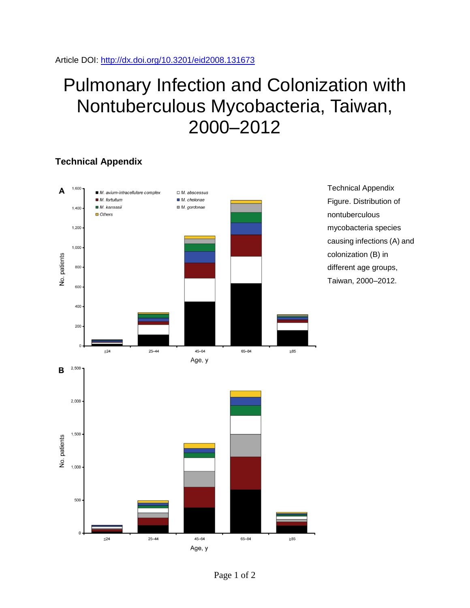# Pulmonary Infection and Colonization with Nontuberculous Mycobacteria, Taiwan, 2000–2012

### **Technical Appendix**



Technical Appendix Figure. Distribution of nontuberculous mycobacteria species causing infections (A) and colonization (B) in different age groups, Taiwan, 2000–2012.

Page 1 of 2